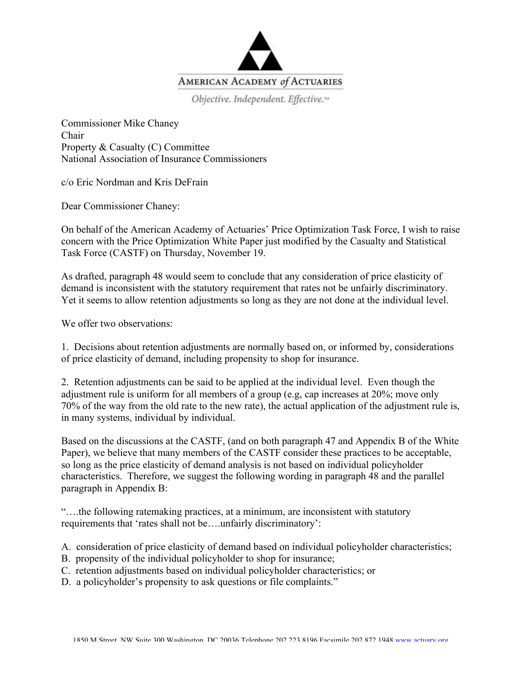

Objective. Independent. Effective.<sup>14</sup>

Commissioner Mike Chaney Chair Property & Casualty (C) Committee National Association of Insurance Commissioners

c/o Eric Nordman and Kris DeFrain

Dear Commissioner Chaney:

On behalf of the American Academy of Actuaries' Price Optimization Task Force, I wish to raise concern with the Price Optimization White Paper just modified by the Casualty and Statistical Task Force (CASTF) on Thursday, November 19.

As drafted, paragraph 48 would seem to conclude that any consideration of price elasticity of demand is inconsistent with the statutory requirement that rates not be unfairly discriminatory. Yet it seems to allow retention adjustments so long as they are not done at the individual level.

We offer two observations:

1. Decisions about retention adjustments are normally based on, or informed by, considerations of price elasticity of demand, including propensity to shop for insurance.

2. Retention adjustments can be said to be applied at the individual level. Even though the adjustment rule is uniform for all members of a group (e.g, cap increases at 20%; move only 70% of the way from the old rate to the new rate), the actual application of the adjustment rule is, in many systems, individual by individual.

Based on the discussions at the CASTF, (and on both paragraph 47 and Appendix B of the White Paper), we believe that many members of the CASTF consider these practices to be acceptable, so long as the price elasticity of demand analysis is not based on individual policyholder characteristics. Therefore, we suggest the following wording in paragraph 48 and the parallel paragraph in Appendix B:

"….the following ratemaking practices, at a minimum, are inconsistent with statutory requirements that 'rates shall not be….unfairly discriminatory':

A. consideration of price elasticity of demand based on individual policyholder characteristics;

- B. propensity of the individual policyholder to shop for insurance;
- C. retention adjustments based on individual policyholder characteristics; or
- D. a policyholder's propensity to ask questions or file complaints."